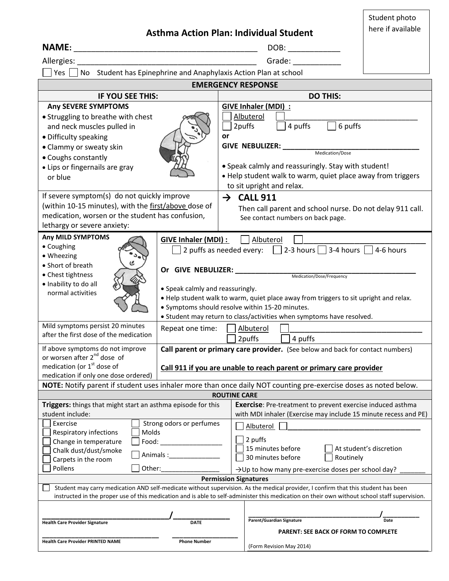| <b>Asthma Action Plan: Individual Student</b><br>Allergies:                                                                                                                                                                                                                        | Student photo<br>here if available |                                                                                                                                                                                                                                                                      |                                                                                                                                                                                                                                                                                                               |      |  |
|------------------------------------------------------------------------------------------------------------------------------------------------------------------------------------------------------------------------------------------------------------------------------------|------------------------------------|----------------------------------------------------------------------------------------------------------------------------------------------------------------------------------------------------------------------------------------------------------------------|---------------------------------------------------------------------------------------------------------------------------------------------------------------------------------------------------------------------------------------------------------------------------------------------------------------|------|--|
| Grade: __________<br>Yes No Student has Epinephrine and Anaphylaxis Action Plan at school                                                                                                                                                                                          |                                    |                                                                                                                                                                                                                                                                      |                                                                                                                                                                                                                                                                                                               |      |  |
| <b>EMERGENCY RESPONSE</b>                                                                                                                                                                                                                                                          |                                    |                                                                                                                                                                                                                                                                      |                                                                                                                                                                                                                                                                                                               |      |  |
| IF YOU SEE THIS:                                                                                                                                                                                                                                                                   |                                    |                                                                                                                                                                                                                                                                      | <b>DO THIS:</b>                                                                                                                                                                                                                                                                                               |      |  |
| <b>Any SEVERE SYMPTOMS</b><br>• Struggling to breathe with chest<br>and neck muscles pulled in<br>• Difficulty speaking<br>• Clammy or sweaty skin<br>• Coughs constantly<br>• Lips or fingernails are gray<br>or blue                                                             |                                    | GIVE Inhaler (MDI) :<br>Albuterol<br>4 puffs<br>$\Box$ 6 puffs<br>2puffs<br>or<br>GIVE NEBULIZER: Medication/Dose<br>. Speak calmly and reassuringly. Stay with student!<br>. Help student walk to warm, quiet place away from triggers<br>to sit upright and relax. |                                                                                                                                                                                                                                                                                                               |      |  |
| If severe symptom(s) do not quickly improve<br>(within 10-15 minutes), with the first/above dose of<br>medication, worsen or the student has confusion,<br>lethargy or severe anxiety:                                                                                             |                                    |                                                                                                                                                                                                                                                                      | $\rightarrow$ CALL 911<br>Then call parent and school nurse. Do not delay 911 call.<br>See contact numbers on back page.                                                                                                                                                                                      |      |  |
| Any MILD SYMPTOMS<br>GIVE Inhaler (MDI) :  <br>• Coughing<br>• Wheezing<br>• Short of breath<br>• Chest tightness<br>· Inability to do all<br>• Speak calmly and reassuringly.<br>normal activities                                                                                |                                    |                                                                                                                                                                                                                                                                      | Albuterol<br>2 puffs as needed every: $\Box$ 2-3 hours $\Box$ 3-4 hours $\Box$ 4-6 hours<br>. Help student walk to warm, quiet place away from triggers to sit upright and relax.<br>· Symptoms should resolve within 15-20 minutes.<br>• Student may return to class/activities when symptoms have resolved. |      |  |
| Mild symptoms persist 20 minutes<br>Repeat one time:<br>after the first dose of the medication                                                                                                                                                                                     |                                    | Albuterol<br>2puffs<br>4 puffs                                                                                                                                                                                                                                       |                                                                                                                                                                                                                                                                                                               |      |  |
| If above symptoms do not improve<br>or worsen after 2 <sup>nd</sup> dose of<br>medication (or $1st$ dose of<br>medication if only one dose ordered)                                                                                                                                |                                    | Call parent or primary care provider. (See below and back for contact numbers)<br>Call 911 if you are unable to reach parent or primary care provider                                                                                                                |                                                                                                                                                                                                                                                                                                               |      |  |
| NOTE: Notify parent if student uses inhaler more than once daily NOT counting pre-exercise doses as noted below.                                                                                                                                                                   |                                    |                                                                                                                                                                                                                                                                      |                                                                                                                                                                                                                                                                                                               |      |  |
| <b>ROUTINE CARE</b><br>Triggers: things that might start an asthma episode for this<br><b>Exercise</b> : Pre-treatment to prevent exercise induced asthma                                                                                                                          |                                    |                                                                                                                                                                                                                                                                      |                                                                                                                                                                                                                                                                                                               |      |  |
| student include:<br>Strong odors or perfumes<br>Exercise<br>Molds<br>Respiratory infections<br>Change in temperature<br>Food:<br>Chalk dust/dust/smoke<br>Animals: 1997<br>Carpets in the room<br>Pollens<br>Other:                                                                |                                    | with MDI inhaler (Exercise may include 15 minute recess and PE)<br><b>Albuterol</b><br>2 puffs<br>15 minutes before<br>At student's discretion<br>30 minutes before<br>Routinely<br>$\rightarrow$ Up to how many pre-exercise doses per school day?                  |                                                                                                                                                                                                                                                                                                               |      |  |
| <b>Permission Signatures</b>                                                                                                                                                                                                                                                       |                                    |                                                                                                                                                                                                                                                                      |                                                                                                                                                                                                                                                                                                               |      |  |
| Student may carry medication AND self-medicate without supervision. As the medical provider, I confirm that this student has been<br>instructed in the proper use of this medication and is able to self-administer this medication on their own without school staff supervision. |                                    |                                                                                                                                                                                                                                                                      |                                                                                                                                                                                                                                                                                                               |      |  |
| <b>Health Care Provider Signature</b><br><b>Health Care Provider PRINTED NAME</b>                                                                                                                                                                                                  | <b>DATE</b><br><b>Phone Number</b> |                                                                                                                                                                                                                                                                      | Parent/Guardian Signature<br><b>PARENT: SEE BACK OF FORM TO COMPLETE</b><br>(Form Revision May 2014)                                                                                                                                                                                                          | Date |  |
|                                                                                                                                                                                                                                                                                    |                                    |                                                                                                                                                                                                                                                                      |                                                                                                                                                                                                                                                                                                               |      |  |